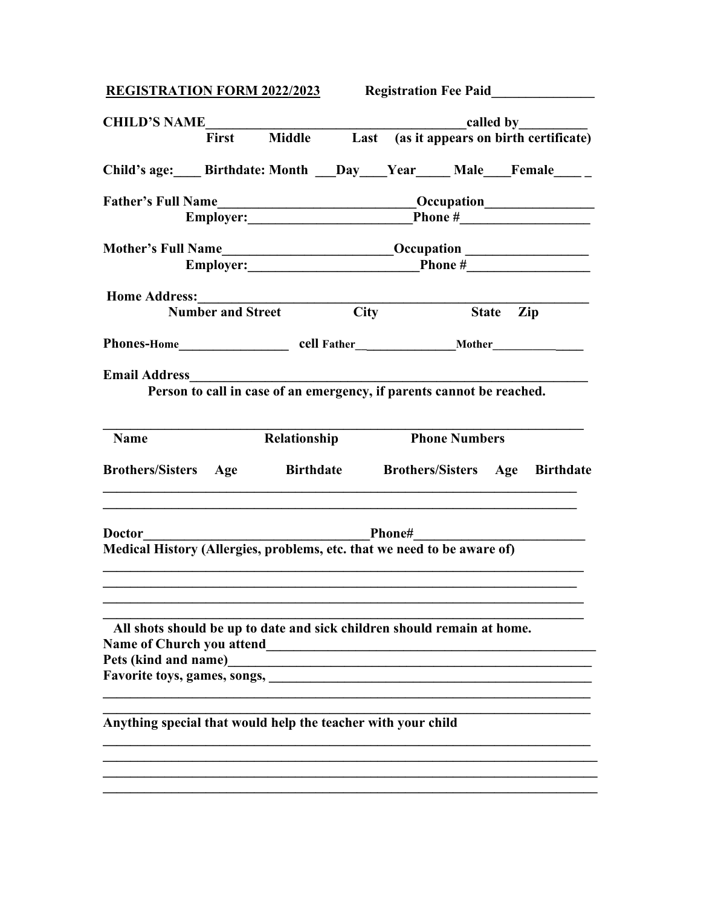|                                                                                                             | <b>REGISTRATION FORM 2022/2023</b> Registration Fee Paid |                                                                                  |                      |           |  |
|-------------------------------------------------------------------------------------------------------------|----------------------------------------------------------|----------------------------------------------------------------------------------|----------------------|-----------|--|
| CHILD'S NAME<br>First Middle Last (as it appears on birth certificate)                                      |                                                          |                                                                                  |                      |           |  |
|                                                                                                             |                                                          |                                                                                  |                      |           |  |
| Child's age: Birthdate: Month Day Year Male Female                                                          |                                                          |                                                                                  |                      |           |  |
| <b>Father's Full Name</b>                                                                                   |                                                          |                                                                                  |                      |           |  |
|                                                                                                             |                                                          |                                                                                  |                      |           |  |
|                                                                                                             |                                                          | Mother's Full Name________________________________Occupation ___________________ |                      |           |  |
|                                                                                                             |                                                          |                                                                                  |                      |           |  |
| <b>Home Address:</b>                                                                                        |                                                          |                                                                                  |                      |           |  |
|                                                                                                             |                                                          | <b>Number and Street City</b>                                                    |                      | State Zip |  |
|                                                                                                             |                                                          |                                                                                  |                      |           |  |
| <b>Email Address</b>                                                                                        |                                                          | Person to call in case of an emergency, if parents cannot be reached.            |                      |           |  |
|                                                                                                             |                                                          |                                                                                  |                      |           |  |
|                                                                                                             |                                                          |                                                                                  |                      |           |  |
| <b>Name</b>                                                                                                 |                                                          | Relationship                                                                     | <b>Phone Numbers</b> |           |  |
|                                                                                                             |                                                          | ,我们也不会有什么。""我们的人,我们也不会有什么?""我们的人,我们也不会有什么?""我们的人,我们也不会有什么?""我们的人,我们也不会有什么?""我们的人 |                      |           |  |
| Brothers/Sisters Age Birthdate Brothers/Sisters Age Birthdate                                               |                                                          |                                                                                  |                      |           |  |
| <b>Doctor</b><br>Medical History (Allergies, problems, etc. that we need to be aware of)                    |                                                          |                                                                                  |                      |           |  |
|                                                                                                             |                                                          |                                                                                  |                      |           |  |
| All shots should be up to date and sick children should remain at home.<br><b>Name of Church you attend</b> |                                                          |                                                                                  |                      |           |  |
| Pets (kind and name)<br><b>Favorite toys, games, songs,</b>                                                 |                                                          |                                                                                  |                      |           |  |
| Anything special that would help the teacher with your child                                                |                                                          |                                                                                  |                      |           |  |
|                                                                                                             |                                                          |                                                                                  |                      |           |  |
|                                                                                                             |                                                          |                                                                                  |                      |           |  |